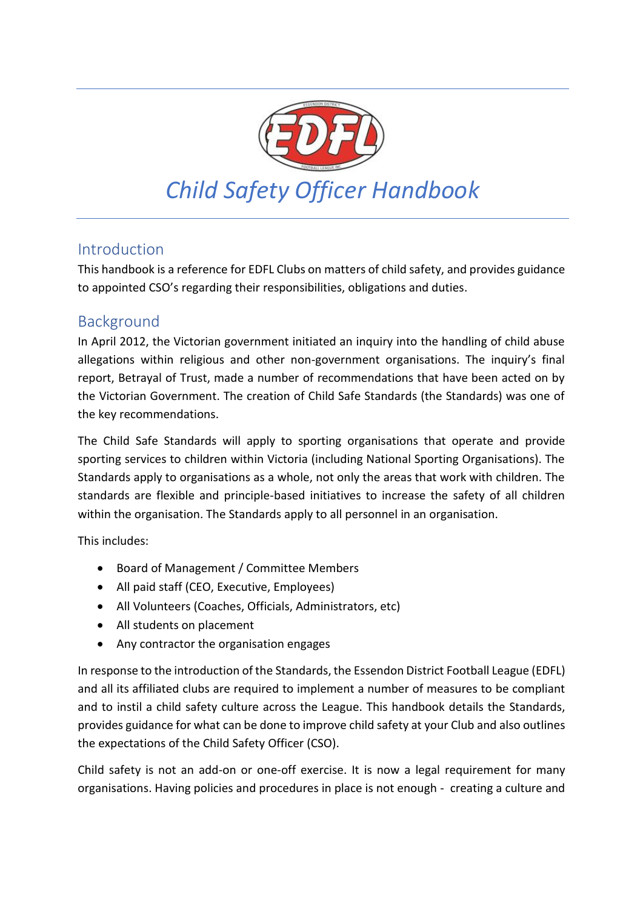

## Introduction

This handbook is a reference for EDFL Clubs on matters of child safety, and provides guidance to appointed CSO's regarding their responsibilities, obligations and duties.

## Background

In April 2012, the Victorian government initiated an inquiry into the handling of child abuse allegations within religious and other non-government organisations. The inquiry's final report, Betrayal of Trust, made a number of recommendations that have been acted on by the Victorian Government. The creation of Child Safe Standards (the Standards) was one of the key recommendations.

The Child Safe Standards will apply to sporting organisations that operate and provide sporting services to children within Victoria (including National Sporting Organisations). The Standards apply to organisations as a whole, not only the areas that work with children. The standards are flexible and principle-based initiatives to increase the safety of all children within the organisation. The Standards apply to all personnel in an organisation.

This includes:

- Board of Management / Committee Members
- All paid staff (CEO, Executive, Employees)
- All Volunteers (Coaches, Officials, Administrators, etc)
- All students on placement
- Any contractor the organisation engages

In response to the introduction of the Standards, the Essendon District Football League (EDFL) and all its affiliated clubs are required to implement a number of measures to be compliant and to instil a child safety culture across the League. This handbook details the Standards, provides guidance for what can be done to improve child safety at your Club and also outlines the expectations of the Child Safety Officer (CSO).

Child safety is not an add-on or one-off exercise. It is now a legal requirement for many organisations. Having policies and procedures in place is not enough - creating a culture and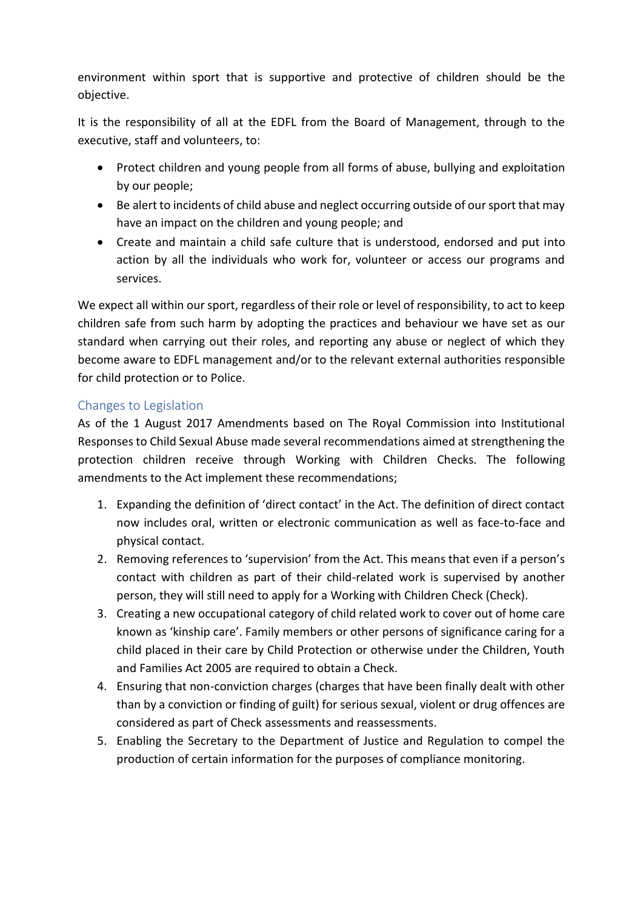environment within sport that is supportive and protective of children should be the objective.

It is the responsibility of all at the EDFL from the Board of Management, through to the executive, staff and volunteers, to:

- Protect children and young people from all forms of abuse, bullying and exploitation by our people;
- Be alert to incidents of child abuse and neglect occurring outside of our sport that may have an impact on the children and young people; and
- Create and maintain a child safe culture that is understood, endorsed and put into action by all the individuals who work for, volunteer or access our programs and services.

We expect all within our sport, regardless of their role or level of responsibility, to act to keep children safe from such harm by adopting the practices and behaviour we have set as our standard when carrying out their roles, and reporting any abuse or neglect of which they become aware to EDFL management and/or to the relevant external authorities responsible for child protection or to Police.

### Changes to Legislation

As of the 1 August 2017 Amendments based on The Royal Commission into Institutional Responses to Child Sexual Abuse made several recommendations aimed at strengthening the protection children receive through Working with Children Checks. The following amendments to the Act implement these recommendations;

- 1. Expanding the definition of 'direct contact' in the Act. The definition of direct contact now includes oral, written or electronic communication as well as face-to-face and physical contact.
- 2. Removing references to 'supervision' from the Act. This means that even if a person's contact with children as part of their child-related work is supervised by another person, they will still need to apply for a Working with Children Check (Check).
- 3. Creating a new occupational category of child related work to cover out of home care known as 'kinship care'. Family members or other persons of significance caring for a child placed in their care by Child Protection or otherwise under the Children, Youth and Families Act 2005 are required to obtain a Check.
- 4. Ensuring that non-conviction charges (charges that have been finally dealt with other than by a conviction or finding of guilt) for serious sexual, violent or drug offences are considered as part of Check assessments and reassessments.
- 5. Enabling the Secretary to the Department of Justice and Regulation to compel the production of certain information for the purposes of compliance monitoring.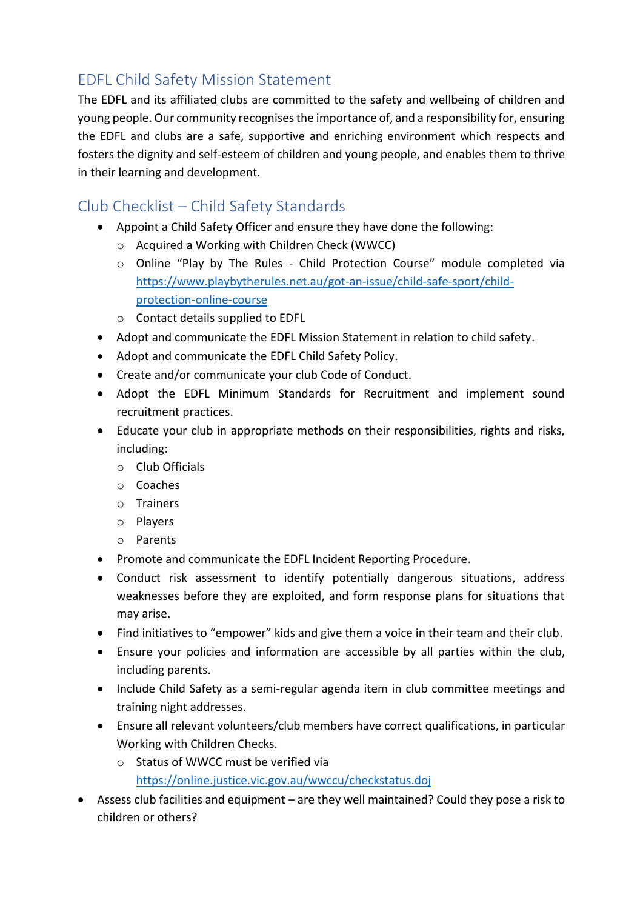# EDFL Child Safety Mission Statement

The EDFL and its affiliated clubs are committed to the safety and wellbeing of children and young people. Our community recognises the importance of, and a responsibility for, ensuring the EDFL and clubs are a safe, supportive and enriching environment which respects and fosters the dignity and self-esteem of children and young people, and enables them to thrive in their learning and development.

# Club Checklist – Child Safety Standards

- Appoint a Child Safety Officer and ensure they have done the following:
	- o Acquired a Working with Children Check (WWCC)
	- o Online "Play by The Rules Child Protection Course" module completed via [https://www.playbytherules.net.au/got-an-issue/child-safe-sport/child](https://www.playbytherules.net.au/got-an-issue/child-safe-sport/child-protection-online-course)[protection-online-course](https://www.playbytherules.net.au/got-an-issue/child-safe-sport/child-protection-online-course)
	- o Contact details supplied to EDFL
- Adopt and communicate the EDFL Mission Statement in relation to child safety.
- Adopt and communicate the EDFL Child Safety Policy.
- Create and/or communicate your club Code of Conduct.
- Adopt the EDFL Minimum Standards for Recruitment and implement sound recruitment practices.
- Educate your club in appropriate methods on their responsibilities, rights and risks, including:
	- o Club Officials
	- o Coaches
	- o Trainers
	- o Players
	- o Parents
- Promote and communicate the EDFL Incident Reporting Procedure.
- Conduct risk assessment to identify potentially dangerous situations, address weaknesses before they are exploited, and form response plans for situations that may arise.
- Find initiatives to "empower" kids and give them a voice in their team and their club.
- Ensure your policies and information are accessible by all parties within the club, including parents.
- Include Child Safety as a semi-regular agenda item in club committee meetings and training night addresses.
- Ensure all relevant volunteers/club members have correct qualifications, in particular Working with Children Checks.
	- o Status of WWCC must be verified via <https://online.justice.vic.gov.au/wwccu/checkstatus.doj>
- Assess club facilities and equipment are they well maintained? Could they pose a risk to children or others?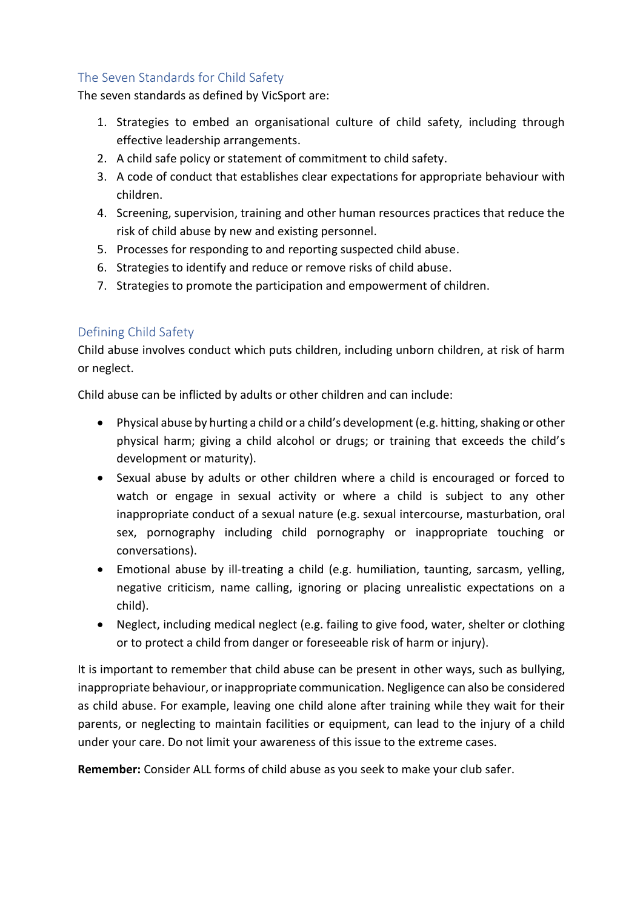## The Seven Standards for Child Safety

The seven standards as defined by VicSport are:

- 1. Strategies to embed an organisational culture of child safety, including through effective leadership arrangements.
- 2. A child safe policy or statement of commitment to child safety.
- 3. A code of conduct that establishes clear expectations for appropriate behaviour with children.
- 4. Screening, supervision, training and other human resources practices that reduce the risk of child abuse by new and existing personnel.
- 5. Processes for responding to and reporting suspected child abuse.
- 6. Strategies to identify and reduce or remove risks of child abuse.
- 7. Strategies to promote the participation and empowerment of children.

### Defining Child Safety

Child abuse involves conduct which puts children, including unborn children, at risk of harm or neglect.

Child abuse can be inflicted by adults or other children and can include:

- Physical abuse by hurting a child or a child's development (e.g. hitting, shaking or other physical harm; giving a child alcohol or drugs; or training that exceeds the child's development or maturity).
- Sexual abuse by adults or other children where a child is encouraged or forced to watch or engage in sexual activity or where a child is subject to any other inappropriate conduct of a sexual nature (e.g. sexual intercourse, masturbation, oral sex, pornography including child pornography or inappropriate touching or conversations).
- Emotional abuse by ill-treating a child (e.g. humiliation, taunting, sarcasm, yelling, negative criticism, name calling, ignoring or placing unrealistic expectations on a child).
- Neglect, including medical neglect (e.g. failing to give food, water, shelter or clothing or to protect a child from danger or foreseeable risk of harm or injury).

It is important to remember that child abuse can be present in other ways, such as bullying, inappropriate behaviour, or inappropriate communication. Negligence can also be considered as child abuse. For example, leaving one child alone after training while they wait for their parents, or neglecting to maintain facilities or equipment, can lead to the injury of a child under your care. Do not limit your awareness of this issue to the extreme cases.

**Remember:** Consider ALL forms of child abuse as you seek to make your club safer.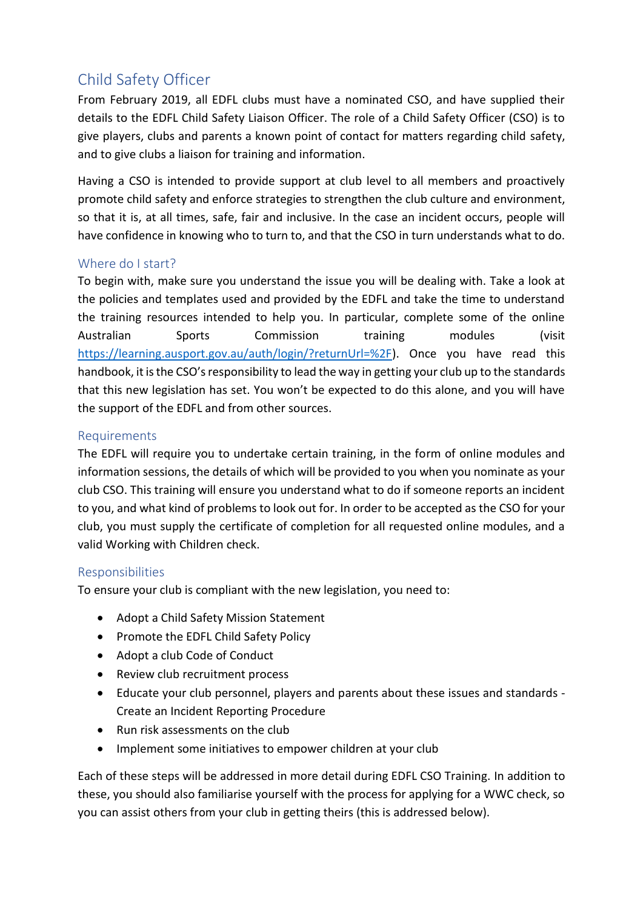# Child Safety Officer

From February 2019, all EDFL clubs must have a nominated CSO, and have supplied their details to the EDFL Child Safety Liaison Officer. The role of a Child Safety Officer (CSO) is to give players, clubs and parents a known point of contact for matters regarding child safety, and to give clubs a liaison for training and information.

Having a CSO is intended to provide support at club level to all members and proactively promote child safety and enforce strategies to strengthen the club culture and environment, so that it is, at all times, safe, fair and inclusive. In the case an incident occurs, people will have confidence in knowing who to turn to, and that the CSO in turn understands what to do.

### Where do I start?

To begin with, make sure you understand the issue you will be dealing with. Take a look at the policies and templates used and provided by the EDFL and take the time to understand the training resources intended to help you. In particular, complete some of the online Australian Sports Commission training modules (visit [https://learning.ausport.gov.au/auth/login/?returnUrl=%2F\)](https://learning.ausport.gov.au/auth/login/?returnUrl=%2F). Once you have read this handbook, it is the CSO's responsibility to lead the way in getting your club up to the standards that this new legislation has set. You won't be expected to do this alone, and you will have the support of the EDFL and from other sources.

#### Requirements

The EDFL will require you to undertake certain training, in the form of online modules and information sessions, the details of which will be provided to you when you nominate as your club CSO. This training will ensure you understand what to do if someone reports an incident to you, and what kind of problems to look out for. In order to be accepted as the CSO for your club, you must supply the certificate of completion for all requested online modules, and a valid Working with Children check.

#### Responsibilities

To ensure your club is compliant with the new legislation, you need to:

- Adopt a Child Safety Mission Statement
- Promote the EDFL Child Safety Policy
- Adopt a club Code of Conduct
- Review club recruitment process
- Educate your club personnel, players and parents about these issues and standards Create an Incident Reporting Procedure
- Run risk assessments on the club
- Implement some initiatives to empower children at your club

Each of these steps will be addressed in more detail during EDFL CSO Training. In addition to these, you should also familiarise yourself with the process for applying for a WWC check, so you can assist others from your club in getting theirs (this is addressed below).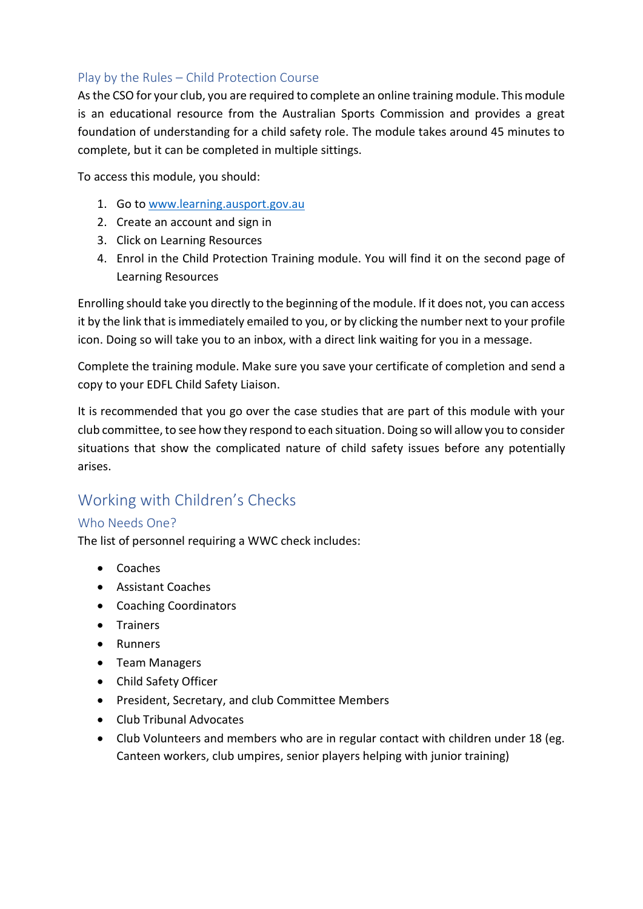### Play by the Rules – Child Protection Course

As the CSO for your club, you are required to complete an online training module. This module is an educational resource from the Australian Sports Commission and provides a great foundation of understanding for a child safety role. The module takes around 45 minutes to complete, but it can be completed in multiple sittings.

To access this module, you should:

- 1. Go t[o www.learning.ausport.gov.au](http://www.learning.ausport.gov.au/)
- 2. Create an account and sign in
- 3. Click on Learning Resources
- 4. Enrol in the Child Protection Training module. You will find it on the second page of Learning Resources

Enrolling should take you directly to the beginning of the module. If it does not, you can access it by the link that is immediately emailed to you, or by clicking the number next to your profile icon. Doing so will take you to an inbox, with a direct link waiting for you in a message.

Complete the training module. Make sure you save your certificate of completion and send a copy to your EDFL Child Safety Liaison.

It is recommended that you go over the case studies that are part of this module with your club committee, to see how they respond to each situation. Doing so will allow you to consider situations that show the complicated nature of child safety issues before any potentially arises.

# Working with Children's Checks

### Who Needs One?

The list of personnel requiring a WWC check includes:

- Coaches
- Assistant Coaches
- Coaching Coordinators
- Trainers
- Runners
- Team Managers
- Child Safety Officer
- President, Secretary, and club Committee Members
- Club Tribunal Advocates
- Club Volunteers and members who are in regular contact with children under 18 (eg. Canteen workers, club umpires, senior players helping with junior training)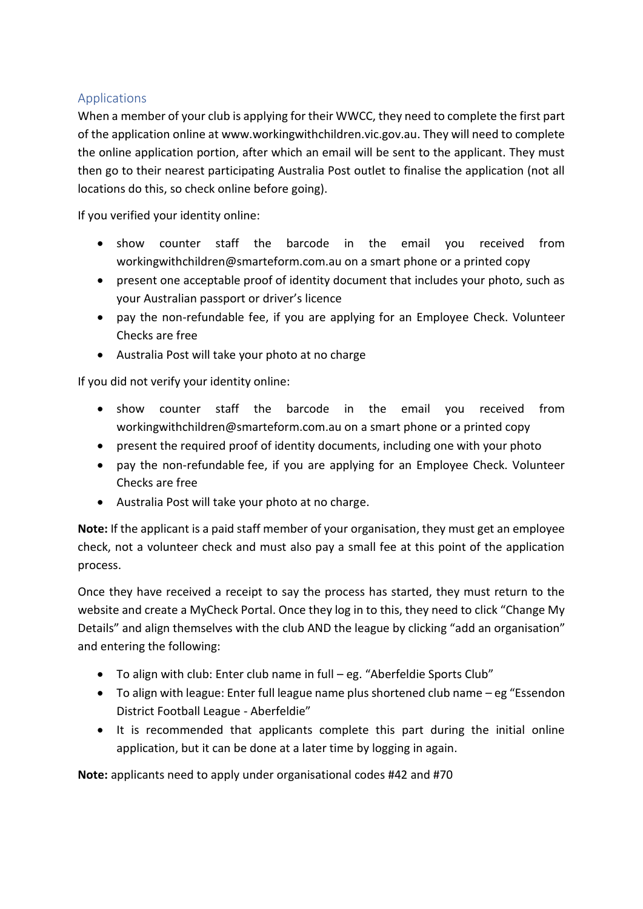### Applications

When a member of your club is applying for their WWCC, they need to complete the first part of the application online at www.workingwithchildren.vic.gov.au. They will need to complete the online application portion, after which an email will be sent to the applicant. They must then go to their nearest participating Australia Post outlet to finalise the application (not all locations do this, so check online before going).

If you verified your identity online:

- show counter staff the barcode in the email you received from workingwithchildren@smarteform.com.au on a smart phone or a printed copy
- present one acceptable proof of identity document that includes your photo, such as your Australian passport or driver's licence
- pay the non-refundable fee, if you are applying for an Employee Check. Volunteer Checks are free
- Australia Post will take your photo at no charge

If you did not verify your identity online:

- show counter staff the barcode in the email you received from workingwithchildren@smarteform.com.au on a smart phone or a printed copy
- present the required [proof of identity](http://www.workingwithchildren.vic.gov.au/home/applications/lodging+your+application/proof+of+identity+requirements/) documents, including one with your photo
- pay the non-refundable [fee,](http://www.workingwithchildren.vic.gov.au/home/applications/fees/) if you are applying for an Employee Check. Volunteer Checks are free
- Australia Post will take your photo at no charge.

**Note:** If the applicant is a paid staff member of your organisation, they must get an employee check, not a volunteer check and must also pay a small fee at this point of the application process.

Once they have received a receipt to say the process has started, they must return to the website and create a MyCheck Portal. Once they log in to this, they need to click "Change My Details" and align themselves with the club AND the league by clicking "add an organisation" and entering the following:

- To align with club: Enter club name in full eg. "Aberfeldie Sports Club"
- To align with league: Enter full league name plus shortened club name eg "Essendon District Football League - Aberfeldie"
- It is recommended that applicants complete this part during the initial online application, but it can be done at a later time by logging in again.

**Note:** applicants need to apply under organisational codes #42 and #70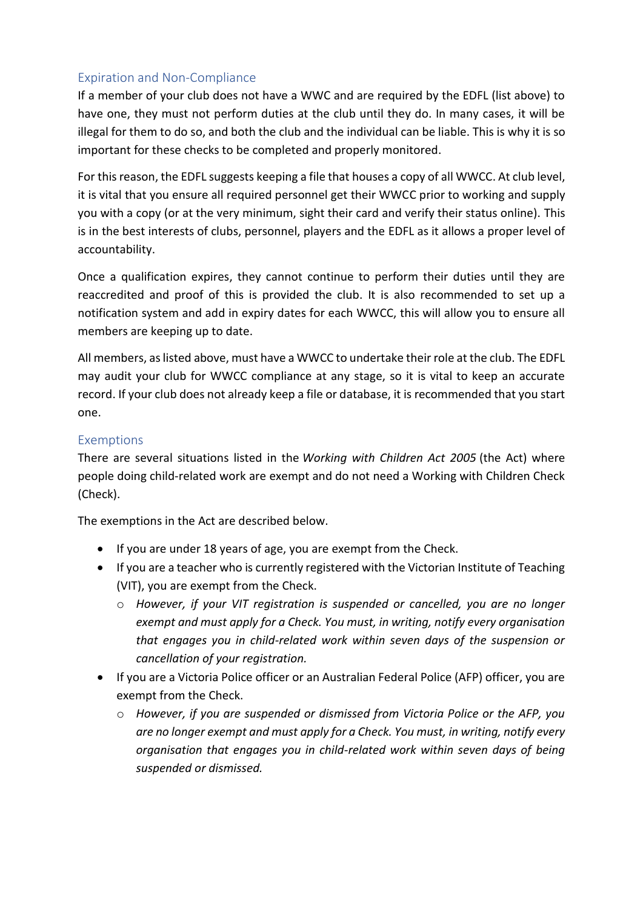## Expiration and Non-Compliance

If a member of your club does not have a WWC and are required by the EDFL (list above) to have one, they must not perform duties at the club until they do. In many cases, it will be illegal for them to do so, and both the club and the individual can be liable. This is why it is so important for these checks to be completed and properly monitored.

For this reason, the EDFL suggests keeping a file that houses a copy of all WWCC. At club level, it is vital that you ensure all required personnel get their WWCC prior to working and supply you with a copy (or at the very minimum, sight their card and verify their status online). This is in the best interests of clubs, personnel, players and the EDFL as it allows a proper level of accountability.

Once a qualification expires, they cannot continue to perform their duties until they are reaccredited and proof of this is provided the club. It is also recommended to set up a notification system and add in expiry dates for each WWCC, this will allow you to ensure all members are keeping up to date.

All members, as listed above, must have a WWCC to undertake their role at the club. The EDFL may audit your club for WWCC compliance at any stage, so it is vital to keep an accurate record. If your club does not already keep a file or database, it is recommended that you start one.

#### Exemptions

There are several situations listed in the *Working with Children Act 2005* (the Act) where people doing child-related work are exempt and do not need a Working with Children Check (Check).

The exemptions in the Act are described below.

- If you are under 18 years of age, you are exempt from the Check.
- If you are a teacher who is currently registered with the Victorian Institute of Teaching (VIT), you are exempt from the Check.
	- o *However, if your VIT registration is suspended or cancelled, you are no longer exempt and must apply for a Check. You must, in writing, notify every organisation that engages you in child-related work within seven days of the suspension or cancellation of your registration.*
- If you are a Victoria Police officer or an Australian Federal Police (AFP) officer, you are exempt from the Check.
	- o *However, if you are suspended or dismissed from Victoria Police or the AFP, you are no longer exempt and must apply for a Check. You must, in writing, notify every organisation that engages you in child-related work within seven days of being suspended or dismissed.*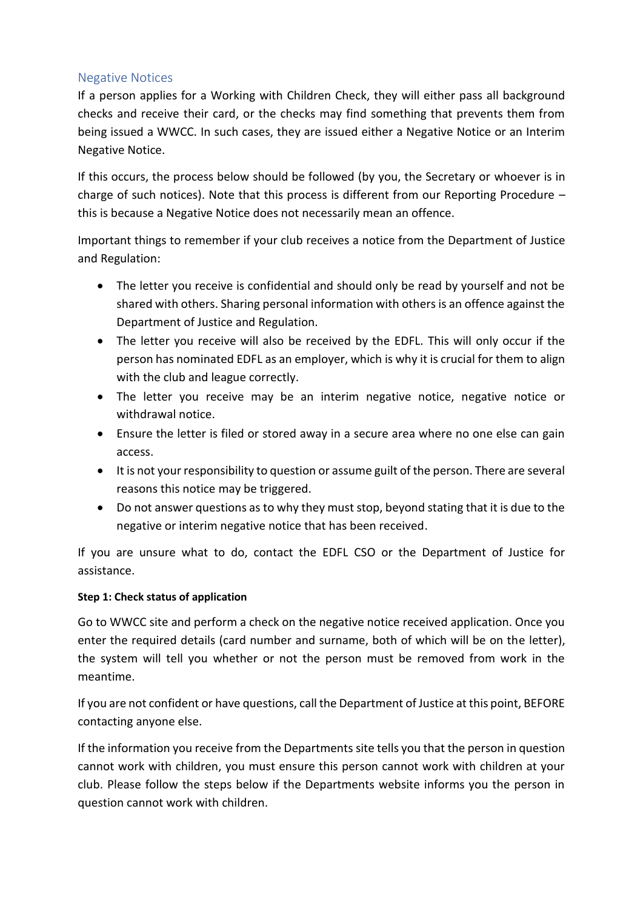#### Negative Notices

If a person applies for a Working with Children Check, they will either pass all background checks and receive their card, or the checks may find something that prevents them from being issued a WWCC. In such cases, they are issued either a Negative Notice or an Interim Negative Notice.

If this occurs, the process below should be followed (by you, the Secretary or whoever is in charge of such notices). Note that this process is different from our Reporting Procedure – this is because a Negative Notice does not necessarily mean an offence.

Important things to remember if your club receives a notice from the Department of Justice and Regulation:

- The letter you receive is confidential and should only be read by yourself and not be shared with others. Sharing personal information with others is an offence against the Department of Justice and Regulation.
- The letter you receive will also be received by the EDFL. This will only occur if the person has nominated EDFL as an employer, which is why it is crucial for them to align with the club and league correctly.
- The letter you receive may be an interim negative notice, negative notice or withdrawal notice.
- Ensure the letter is filed or stored away in a secure area where no one else can gain access.
- It is not your responsibility to question or assume guilt of the person. There are several reasons this notice may be triggered.
- Do not answer questions as to why they must stop, beyond stating that it is due to the negative or interim negative notice that has been received.

If you are unsure what to do, contact the EDFL CSO or the Department of Justice for assistance.

#### **Step 1: Check status of application**

Go to WWCC site and perform a check on the negative notice received application. Once you enter the required details (card number and surname, both of which will be on the letter), the system will tell you whether or not the person must be removed from work in the meantime.

If you are not confident or have questions, call the Department of Justice at this point, BEFORE contacting anyone else.

If the information you receive from the Departments site tells you that the person in question cannot work with children, you must ensure this person cannot work with children at your club. Please follow the steps below if the Departments website informs you the person in question cannot work with children.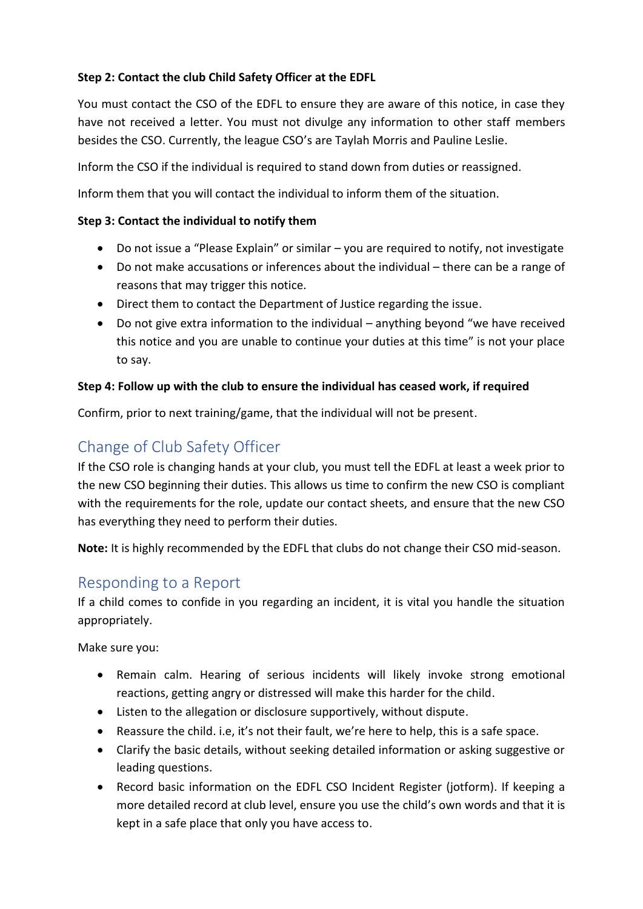### **Step 2: Contact the club Child Safety Officer at the EDFL**

You must contact the CSO of the EDFL to ensure they are aware of this notice, in case they have not received a letter. You must not divulge any information to other staff members besides the CSO. Currently, the league CSO's are Taylah Morris and Pauline Leslie.

Inform the CSO if the individual is required to stand down from duties or reassigned.

Inform them that you will contact the individual to inform them of the situation.

#### **Step 3: Contact the individual to notify them**

- Do not issue a "Please Explain" or similar you are required to notify, not investigate
- Do not make accusations or inferences about the individual there can be a range of reasons that may trigger this notice.
- Direct them to contact the Department of Justice regarding the issue.
- Do not give extra information to the individual anything beyond "we have received this notice and you are unable to continue your duties at this time" is not your place to say.

#### **Step 4: Follow up with the club to ensure the individual has ceased work, if required**

Confirm, prior to next training/game, that the individual will not be present.

## Change of Club Safety Officer

If the CSO role is changing hands at your club, you must tell the EDFL at least a week prior to the new CSO beginning their duties. This allows us time to confirm the new CSO is compliant with the requirements for the role, update our contact sheets, and ensure that the new CSO has everything they need to perform their duties.

**Note:** It is highly recommended by the EDFL that clubs do not change their CSO mid-season.

## Responding to a Report

If a child comes to confide in you regarding an incident, it is vital you handle the situation appropriately.

Make sure you:

- Remain calm. Hearing of serious incidents will likely invoke strong emotional reactions, getting angry or distressed will make this harder for the child.
- Listen to the allegation or disclosure supportively, without dispute.
- Reassure the child. i.e, it's not their fault, we're here to help, this is a safe space.
- Clarify the basic details, without seeking detailed information or asking suggestive or leading questions.
- Record basic information on the EDFL CSO Incident Register (jotform). If keeping a more detailed record at club level, ensure you use the child's own words and that it is kept in a safe place that only you have access to.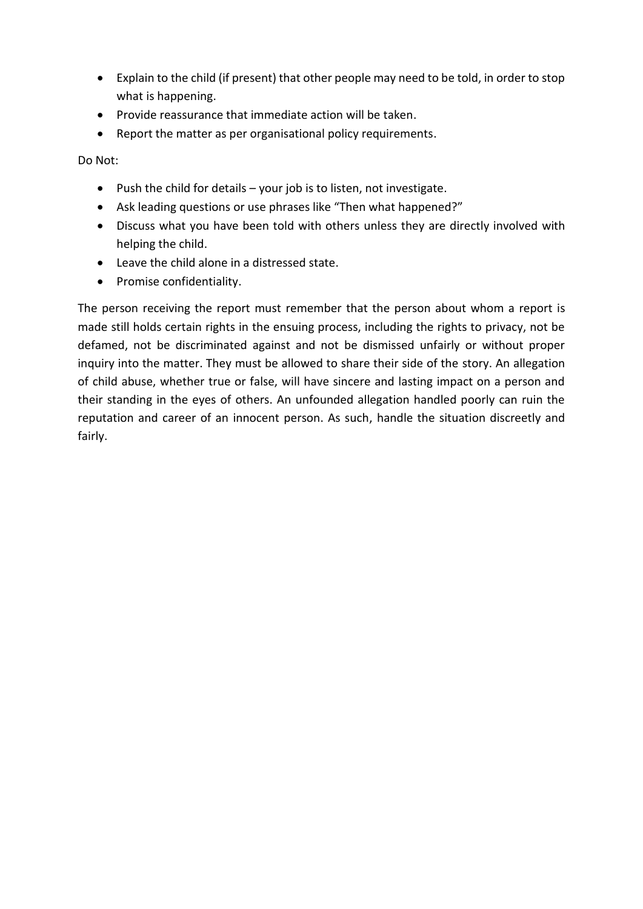- Explain to the child (if present) that other people may need to be told, in order to stop what is happening.
- Provide reassurance that immediate action will be taken.
- Report the matter as per organisational policy requirements.

Do Not:

- Push the child for details your job is to listen, not investigate.
- Ask leading questions or use phrases like "Then what happened?"
- Discuss what you have been told with others unless they are directly involved with helping the child.
- Leave the child alone in a distressed state.
- Promise confidentiality.

The person receiving the report must remember that the person about whom a report is made still holds certain rights in the ensuing process, including the rights to privacy, not be defamed, not be discriminated against and not be dismissed unfairly or without proper inquiry into the matter. They must be allowed to share their side of the story. An allegation of child abuse, whether true or false, will have sincere and lasting impact on a person and their standing in the eyes of others. An unfounded allegation handled poorly can ruin the reputation and career of an innocent person. As such, handle the situation discreetly and fairly.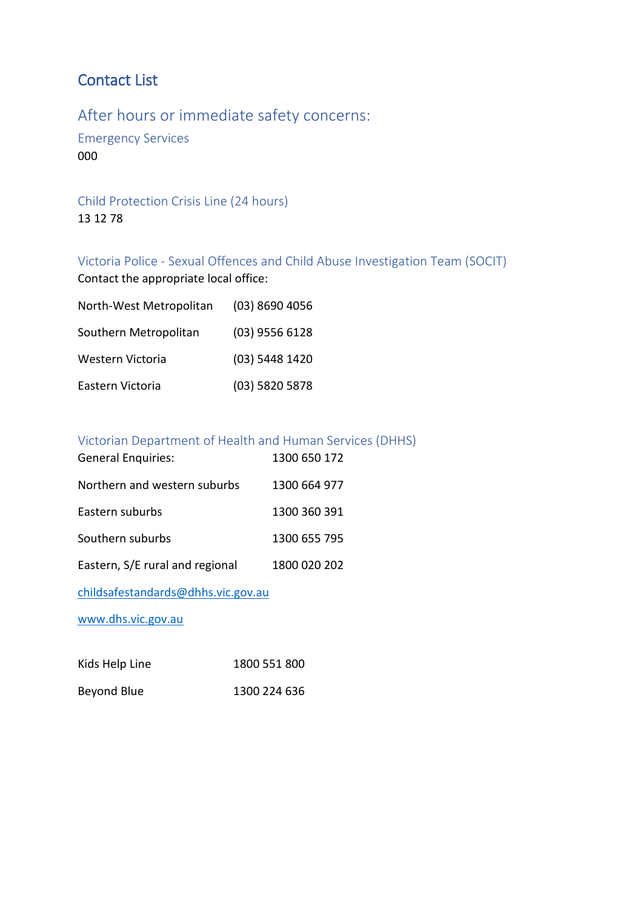# Contact List

After hours or immediate safety concerns:

Emergency Services 000

Child Protection Crisis Line (24 hours) 13 12 78

Victoria Police - Sexual Offences and Child Abuse Investigation Team (SOCIT) Contact the appropriate local office:

| North-West Metropolitan | $(03)$ 8690 4056 |
|-------------------------|------------------|
| Southern Metropolitan   | $(03)$ 9556 6128 |
| Western Victoria        | (03) 5448 1420   |
| Eastern Victoria        | (03) 5820 5878   |

### Victorian Department of Health and Human Services (DHHS)

| <b>General Enquiries:</b>       | 1300 650 172 |
|---------------------------------|--------------|
| Northern and western suburbs    | 1300 664 977 |
| Eastern suburbs                 | 1300 360 391 |
| Southern suburbs                | 1300 655 795 |
| Eastern, S/E rural and regional | 1800 020 202 |

[childsafestandards@dhhs.vic.gov.au](mailto:childsafestandards@dhhs.vic.gov.au) 

[www.dhs.vic.gov.au](http://www.dhs.vic.gov.au/)

| Kids Help Line | 1800 551 800 |
|----------------|--------------|
| Beyond Blue    | 1300 224 636 |